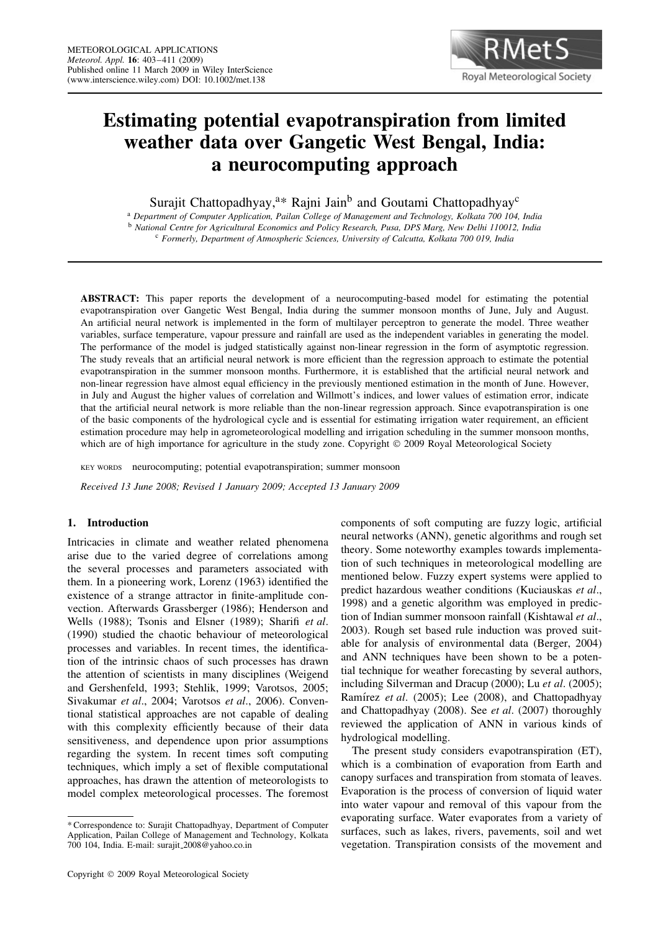

# **Estimating potential evapotranspiration from limited weather data over Gangetic West Bengal, India: a neurocomputing approach**

Surajit Chattopadhyay,<sup>a\*</sup> Rajni Jain<sup>b</sup> and Goutami Chattopadhyay<sup>c</sup>

<sup>a</sup> *Department of Computer Application, Pailan College of Management and Technology, Kolkata 700 104, India* <sup>b</sup> *National Centre for Agricultural Economics and Policy Research, Pusa, DPS Marg, New Delhi 110012, India* <sup>c</sup> *Formerly, Department of Atmospheric Sciences, University of Calcutta, Kolkata 700 019, India*

**ABSTRACT:** This paper reports the development of a neurocomputing-based model for estimating the potential evapotranspiration over Gangetic West Bengal, India during the summer monsoon months of June, July and August. An artificial neural network is implemented in the form of multilayer perceptron to generate the model. Three weather variables, surface temperature, vapour pressure and rainfall are used as the independent variables in generating the model. The performance of the model is judged statistically against non-linear regression in the form of asymptotic regression. The study reveals that an artificial neural network is more efficient than the regression approach to estimate the potential evapotranspiration in the summer monsoon months. Furthermore, it is established that the artificial neural network and non-linear regression have almost equal efficiency in the previously mentioned estimation in the month of June. However, in July and August the higher values of correlation and Willmott's indices, and lower values of estimation error, indicate that the artificial neural network is more reliable than the non-linear regression approach. Since evapotranspiration is one of the basic components of the hydrological cycle and is essential for estimating irrigation water requirement, an efficient estimation procedure may help in agrometeorological modelling and irrigation scheduling in the summer monsoon months, which are of high importance for agriculture in the study zone. Copyright  $\odot$  2009 Royal Meteorological Society

KEY WORDS neurocomputing; potential evapotranspiration; summer monsoon

*Received 13 June 2008; Revised 1 January 2009; Accepted 13 January 2009*

## **1. Introduction**

Intricacies in climate and weather related phenomena arise due to the varied degree of correlations among the several processes and parameters associated with them. In a pioneering work, Lorenz (1963) identified the existence of a strange attractor in finite-amplitude convection. Afterwards Grassberger (1986); Henderson and Wells (1988); Tsonis and Elsner (1989); Sharifi *et al*. (1990) studied the chaotic behaviour of meteorological processes and variables. In recent times, the identification of the intrinsic chaos of such processes has drawn the attention of scientists in many disciplines (Weigend and Gershenfeld, 1993; Stehlik, 1999; Varotsos, 2005; Sivakumar *et al*., 2004; Varotsos *et al*., 2006). Conventional statistical approaches are not capable of dealing with this complexity efficiently because of their data sensitiveness, and dependence upon prior assumptions regarding the system. In recent times soft computing techniques, which imply a set of flexible computational approaches, has drawn the attention of meteorologists to model complex meteorological processes. The foremost components of soft computing are fuzzy logic, artificial neural networks (ANN), genetic algorithms and rough set theory. Some noteworthy examples towards implementation of such techniques in meteorological modelling are mentioned below. Fuzzy expert systems were applied to predict hazardous weather conditions (Kuciauskas *et al*., 1998) and a genetic algorithm was employed in prediction of Indian summer monsoon rainfall (Kishtawal *et al*., 2003). Rough set based rule induction was proved suitable for analysis of environmental data (Berger, 2004) and ANN techniques have been shown to be a potential technique for weather forecasting by several authors, including Silverman and Dracup (2000); Lu *et al*. (2005); Ramírez *et al.* (2005); Lee (2008), and Chattopadhyay and Chattopadhyay (2008). See *et al*. (2007) thoroughly reviewed the application of ANN in various kinds of hydrological modelling.

The present study considers evapotranspiration (ET), which is a combination of evaporation from Earth and canopy surfaces and transpiration from stomata of leaves. Evaporation is the process of conversion of liquid water into water vapour and removal of this vapour from the evaporating surface. Water evaporates from a variety of surfaces, such as lakes, rivers, pavements, soil and wet vegetation. Transpiration consists of the movement and

<sup>\*</sup> Correspondence to: Surajit Chattopadhyay, Department of Computer Application, Pailan College of Management and Technology, Kolkata 700 104, India. E-mail: surajit 2008@yahoo.co.in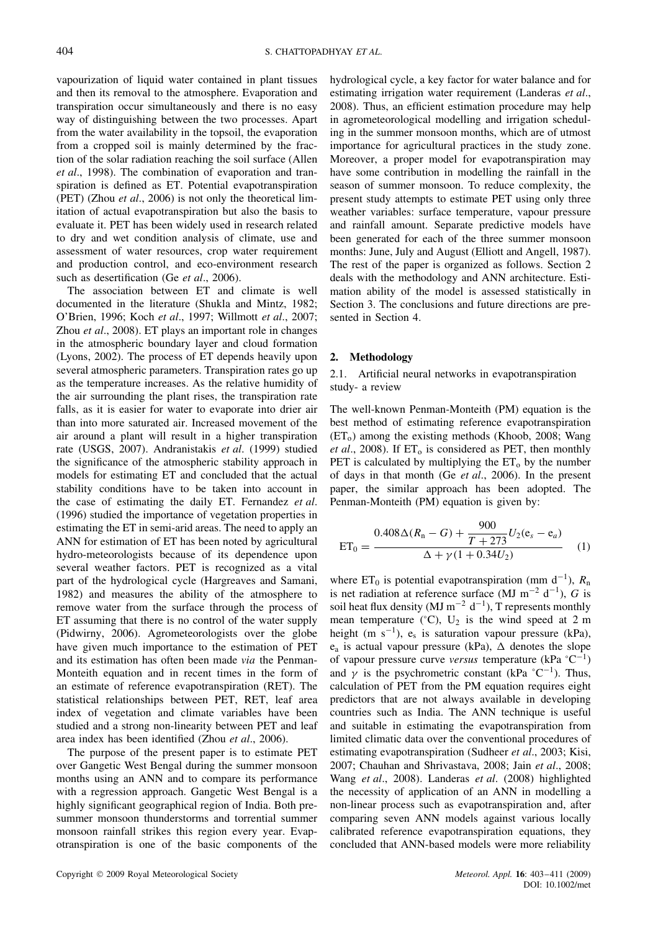vapourization of liquid water contained in plant tissues and then its removal to the atmosphere. Evaporation and transpiration occur simultaneously and there is no easy way of distinguishing between the two processes. Apart from the water availability in the topsoil, the evaporation from a cropped soil is mainly determined by the fraction of the solar radiation reaching the soil surface (Allen *et al*., 1998). The combination of evaporation and transpiration is defined as ET. Potential evapotranspiration (PET) (Zhou *et al*., 2006) is not only the theoretical limitation of actual evapotranspiration but also the basis to evaluate it. PET has been widely used in research related to dry and wet condition analysis of climate, use and assessment of water resources, crop water requirement and production control, and eco-environment research such as desertification (Ge *et al*., 2006).

The association between ET and climate is well documented in the literature (Shukla and Mintz, 1982; O'Brien, 1996; Koch *et al*., 1997; Willmott *et al*., 2007; Zhou *et al*., 2008). ET plays an important role in changes in the atmospheric boundary layer and cloud formation (Lyons, 2002). The process of ET depends heavily upon several atmospheric parameters. Transpiration rates go up as the temperature increases. As the relative humidity of the air surrounding the plant rises, the transpiration rate falls, as it is easier for water to evaporate into drier air than into more saturated air. Increased movement of the air around a plant will result in a higher transpiration rate (USGS, 2007). Andranistakis *et al*. (1999) studied the significance of the atmospheric stability approach in models for estimating ET and concluded that the actual stability conditions have to be taken into account in the case of estimating the daily ET. Fernandez *et al*. (1996) studied the importance of vegetation properties in estimating the ET in semi-arid areas. The need to apply an ANN for estimation of ET has been noted by agricultural hydro-meteorologists because of its dependence upon several weather factors. PET is recognized as a vital part of the hydrological cycle (Hargreaves and Samani, 1982) and measures the ability of the atmosphere to remove water from the surface through the process of ET assuming that there is no control of the water supply (Pidwirny, 2006). Agrometeorologists over the globe have given much importance to the estimation of PET and its estimation has often been made *via* the Penman-Monteith equation and in recent times in the form of an estimate of reference evapotranspiration (RET). The statistical relationships between PET, RET, leaf area index of vegetation and climate variables have been studied and a strong non-linearity between PET and leaf area index has been identified (Zhou *et al*., 2006).

The purpose of the present paper is to estimate PET over Gangetic West Bengal during the summer monsoon months using an ANN and to compare its performance with a regression approach. Gangetic West Bengal is a highly significant geographical region of India. Both presummer monsoon thunderstorms and torrential summer monsoon rainfall strikes this region every year. Evapotranspiration is one of the basic components of the hydrological cycle, a key factor for water balance and for estimating irrigation water requirement (Landeras *et al*., 2008). Thus, an efficient estimation procedure may help in agrometeorological modelling and irrigation scheduling in the summer monsoon months, which are of utmost importance for agricultural practices in the study zone. Moreover, a proper model for evapotranspiration may have some contribution in modelling the rainfall in the season of summer monsoon. To reduce complexity, the present study attempts to estimate PET using only three weather variables: surface temperature, vapour pressure and rainfall amount. Separate predictive models have been generated for each of the three summer monsoon months: June, July and August (Elliott and Angell, 1987). The rest of the paper is organized as follows. Section 2 deals with the methodology and ANN architecture. Estimation ability of the model is assessed statistically in Section 3. The conclusions and future directions are presented in Section 4.

## **2. Methodology**

2.1. Artificial neural networks in evapotranspiration study- a review

The well-known Penman-Monteith (PM) equation is the best method of estimating reference evapotranspiration  $(ET<sub>o</sub>)$  among the existing methods (Khoob, 2008; Wang *et al.*, 2008). If  $ET_0$  is considered as PET, then monthly PET is calculated by multiplying the  $ET_0$  by the number of days in that month (Ge *et al*., 2006). In the present paper, the similar approach has been adopted. The Penman-Monteith (PM) equation is given by:

$$
ET_0 = \frac{0.408\Delta(R_n - G) + \frac{900}{T + 273}U_2(e_s - e_a)}{\Delta + \gamma(1 + 0.34U_2)}
$$
 (1)

where ET<sub>0</sub> is potential evapotranspiration (mm d<sup>-1</sup>),  $R_n$ is net radiation at reference surface (MJ m<sup>-2</sup> d<sup>-1</sup>), G is soil heat flux density (MJ m<sup>-2</sup> d<sup>-1</sup>), T represents monthly mean temperature (°C),  $U_2$  is the wind speed at 2 m height (m s<sup>-1</sup>), e<sub>s</sub> is saturation vapour pressure (kPa),  $e_a$  is actual vapour pressure (kPa),  $\Delta$  denotes the slope of vapour pressure curve *versus* temperature (kPa °C −1 ) and  $\gamma$  is the psychrometric constant (kPa  $\degree$ C<sup>-1</sup>). Thus, calculation of PET from the PM equation requires eight predictors that are not always available in developing countries such as India. The ANN technique is useful and suitable in estimating the evapotranspiration from limited climatic data over the conventional procedures of estimating evapotranspiration (Sudheer *et al*., 2003; Kisi, 2007; Chauhan and Shrivastava, 2008; Jain *et al*., 2008; Wang *et al*., 2008). Landeras *et al*. (2008) highlighted the necessity of application of an ANN in modelling a non-linear process such as evapotranspiration and, after comparing seven ANN models against various locally calibrated reference evapotranspiration equations, they concluded that ANN-based models were more reliability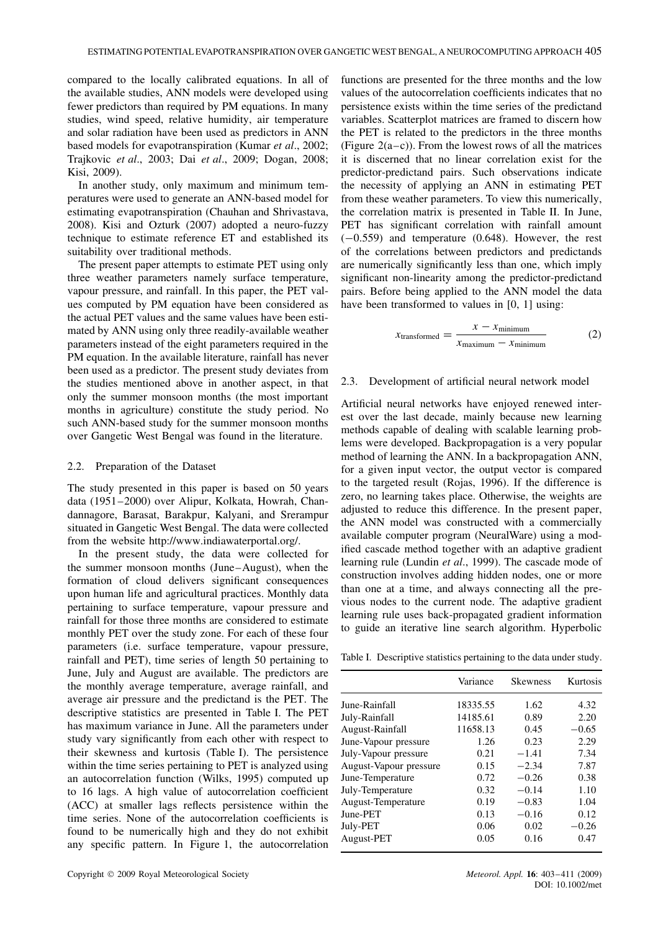compared to the locally calibrated equations. In all of the available studies, ANN models were developed using fewer predictors than required by PM equations. In many studies, wind speed, relative humidity, air temperature and solar radiation have been used as predictors in ANN based models for evapotranspiration (Kumar *et al*., 2002; Trajkovic *et al*., 2003; Dai *et al*., 2009; Dogan, 2008; Kisi, 2009).

In another study, only maximum and minimum temperatures were used to generate an ANN-based model for estimating evapotranspiration (Chauhan and Shrivastava, 2008). Kisi and Ozturk (2007) adopted a neuro-fuzzy technique to estimate reference ET and established its suitability over traditional methods.

The present paper attempts to estimate PET using only three weather parameters namely surface temperature, vapour pressure, and rainfall. In this paper, the PET values computed by PM equation have been considered as the actual PET values and the same values have been estimated by ANN using only three readily-available weather parameters instead of the eight parameters required in the PM equation. In the available literature, rainfall has never been used as a predictor. The present study deviates from the studies mentioned above in another aspect, in that only the summer monsoon months (the most important months in agriculture) constitute the study period. No such ANN-based study for the summer monsoon months over Gangetic West Bengal was found in the literature.

## 2.2. Preparation of the Dataset

The study presented in this paper is based on 50 years data (1951–2000) over Alipur, Kolkata, Howrah, Chandannagore, Barasat, Barakpur, Kalyani, and Srerampur situated in Gangetic West Bengal. The data were collected from the website http://www.indiawaterportal.org/.

In the present study, the data were collected for the summer monsoon months (June–August), when the formation of cloud delivers significant consequences upon human life and agricultural practices. Monthly data pertaining to surface temperature, vapour pressure and rainfall for those three months are considered to estimate monthly PET over the study zone. For each of these four parameters (i.e. surface temperature, vapour pressure, rainfall and PET), time series of length 50 pertaining to June, July and August are available. The predictors are the monthly average temperature, average rainfall, and average air pressure and the predictand is the PET. The descriptive statistics are presented in Table I. The PET has maximum variance in June. All the parameters under study vary significantly from each other with respect to their skewness and kurtosis (Table I). The persistence within the time series pertaining to PET is analyzed using an autocorrelation function (Wilks, 1995) computed up to 16 lags. A high value of autocorrelation coefficient (ACC) at smaller lags reflects persistence within the time series. None of the autocorrelation coefficients is found to be numerically high and they do not exhibit any specific pattern. In Figure 1, the autocorrelation

functions are presented for the three months and the low values of the autocorrelation coefficients indicates that no persistence exists within the time series of the predictand variables. Scatterplot matrices are framed to discern how the PET is related to the predictors in the three months (Figure  $2(a-c)$ ). From the lowest rows of all the matrices it is discerned that no linear correlation exist for the predictor-predictand pairs. Such observations indicate the necessity of applying an ANN in estimating PET from these weather parameters. To view this numerically, the correlation matrix is presented in Table II. In June, PET has significant correlation with rainfall amount  $(-0.559)$  and temperature  $(0.648)$ . However, the rest of the correlations between predictors and predictands are numerically significantly less than one, which imply significant non-linearity among the predictor-predictand pairs. Before being applied to the ANN model the data have been transformed to values in [0, 1] using:

$$
x_{\text{transformed}} = \frac{x - x_{\text{minimum}}}{x_{\text{maximum}} - x_{\text{minimum}}} \tag{2}
$$

## 2.3. Development of artificial neural network model

Artificial neural networks have enjoyed renewed interest over the last decade, mainly because new learning methods capable of dealing with scalable learning problems were developed. Backpropagation is a very popular method of learning the ANN. In a backpropagation ANN, for a given input vector, the output vector is compared to the targeted result (Rojas, 1996). If the difference is zero, no learning takes place. Otherwise, the weights are adjusted to reduce this difference. In the present paper, the ANN model was constructed with a commercially available computer program (NeuralWare) using a modified cascade method together with an adaptive gradient learning rule (Lundin *et al*., 1999). The cascade mode of construction involves adding hidden nodes, one or more than one at a time, and always connecting all the previous nodes to the current node. The adaptive gradient learning rule uses back-propagated gradient information to guide an iterative line search algorithm. Hyperbolic

Table I. Descriptive statistics pertaining to the data under study.

|                        | Variance | <b>Skewness</b> | Kurtosis |
|------------------------|----------|-----------------|----------|
| June-Rainfall          | 18335.55 | 1.62            | 4.32     |
| July-Rainfall          | 14185.61 | 0.89            | 2.20     |
| August-Rainfall        | 11658.13 | 0.45            | $-0.65$  |
| June-Vapour pressure   | 1.26     | 0.23            | 2.29     |
| July-Vapour pressure   | 0.21     | $-1.41$         | 7.34     |
| August-Vapour pressure | 0.15     | $-2.34$         | 7.87     |
| June-Temperature       | 0.72     | $-0.26$         | 0.38     |
| July-Temperature       | 0.32     | $-0.14$         | 1.10     |
| August-Temperature     | 0.19     | $-0.83$         | 1.04     |
| June-PET               | 0.13     | $-0.16$         | 0.12     |
| July-PET               | 0.06     | 0.02            | $-0.26$  |
| August-PET             | 0.05     | 0.16            | 0.47     |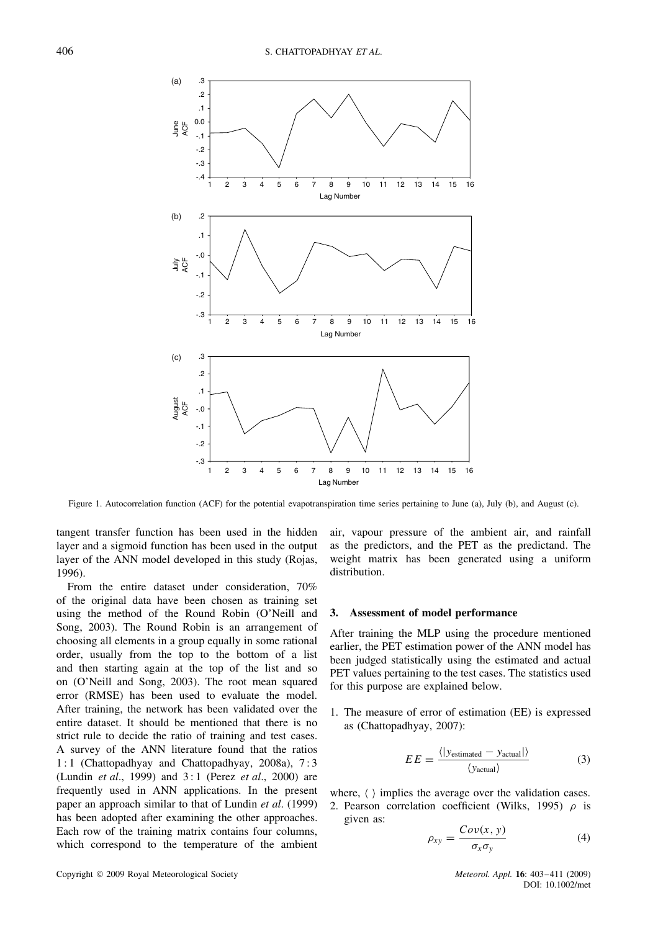

Figure 1. Autocorrelation function (ACF) for the potential evapotranspiration time series pertaining to June (a), July (b), and August (c).

tangent transfer function has been used in the hidden layer and a sigmoid function has been used in the output layer of the ANN model developed in this study (Rojas, 1996).

From the entire dataset under consideration, 70% of the original data have been chosen as training set using the method of the Round Robin (O'Neill and Song, 2003). The Round Robin is an arrangement of choosing all elements in a group equally in some rational order, usually from the top to the bottom of a list and then starting again at the top of the list and so on (O'Neill and Song, 2003). The root mean squared error (RMSE) has been used to evaluate the model. After training, the network has been validated over the entire dataset. It should be mentioned that there is no strict rule to decide the ratio of training and test cases. A survey of the ANN literature found that the ratios 1 : 1 (Chattopadhyay and Chattopadhyay, 2008a), 7 : 3 (Lundin *et al*., 1999) and 3 : 1 (Perez *et al*., 2000) are frequently used in ANN applications. In the present paper an approach similar to that of Lundin *et al*. (1999) has been adopted after examining the other approaches. Each row of the training matrix contains four columns, which correspond to the temperature of the ambient

air, vapour pressure of the ambient air, and rainfall as the predictors, and the PET as the predictand. The weight matrix has been generated using a uniform distribution.

# **3. Assessment of model performance**

After training the MLP using the procedure mentioned earlier, the PET estimation power of the ANN model has been judged statistically using the estimated and actual PET values pertaining to the test cases. The statistics used for this purpose are explained below.

1. The measure of error of estimation (EE) is expressed as (Chattopadhyay, 2007):

$$
EE = \frac{\langle |y_{\text{estimated}} - y_{\text{actual}}| \rangle}{\langle y_{\text{actual}} \rangle}
$$
 (3)

where,  $\langle \ \rangle$  implies the average over the validation cases. 2. Pearson correlation coefficient (Wilks, 1995)  $\rho$  is given as:

$$
\rho_{xy} = \frac{Cov(x, y)}{\sigma_x \sigma_y} \tag{4}
$$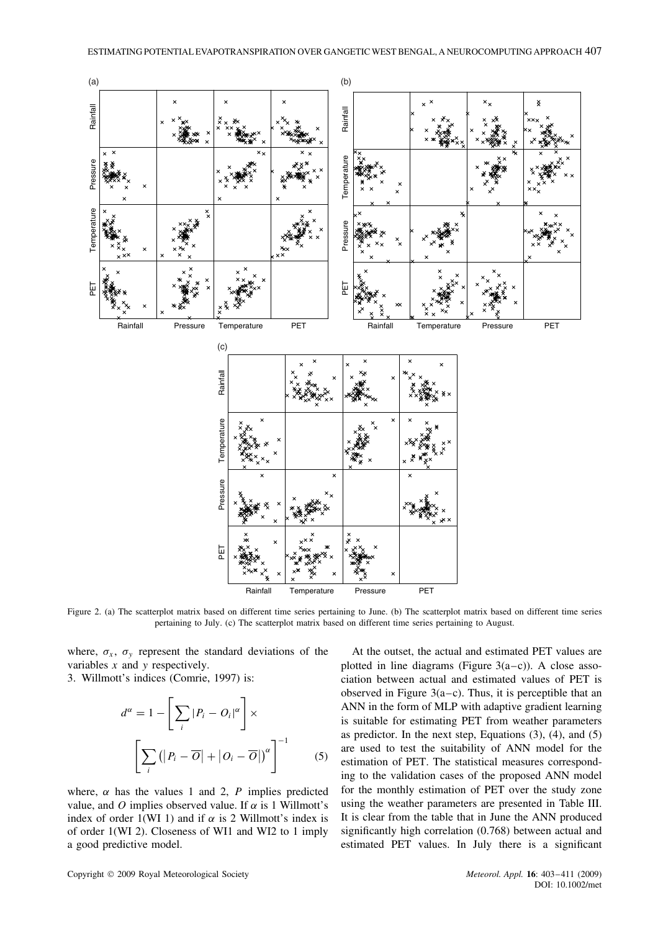

Figure 2. (a) The scatterplot matrix based on different time series pertaining to June. (b) The scatterplot matrix based on different time series pertaining to July. (c) The scatterplot matrix based on different time series pertaining to August.

where,  $\sigma_x$ ,  $\sigma_y$  represent the standard deviations of the variables  $x$  and  $y$  respectively.

3. Willmott's indices (Comrie, 1997) is:

$$
d^{\alpha} = 1 - \left[ \sum_{i} |P_{i} - O_{i}|^{\alpha} \right] \times \left[ \sum_{i} \left( |P_{i} - \overline{O}| + |O_{i} - \overline{O}| \right)^{\alpha} \right]^{-1} \tag{5}
$$

where,  $\alpha$  has the values 1 and 2, P implies predicted value, and O implies observed value. If  $\alpha$  is 1 Willmott's index of order 1(WI 1) and if  $\alpha$  is 2 Willmott's index is of order 1(WI 2). Closeness of WI1 and WI2 to 1 imply a good predictive model.

At the outset, the actual and estimated PET values are plotted in line diagrams (Figure  $3(a-c)$ ). A close association between actual and estimated values of PET is observed in Figure  $3(a-c)$ . Thus, it is perceptible that an ANN in the form of MLP with adaptive gradient learning is suitable for estimating PET from weather parameters as predictor. In the next step, Equations  $(3)$ ,  $(4)$ , and  $(5)$ are used to test the suitability of ANN model for the estimation of PET. The statistical measures corresponding to the validation cases of the proposed ANN model for the monthly estimation of PET over the study zone using the weather parameters are presented in Table III. It is clear from the table that in June the ANN produced significantly high correlation (0.768) between actual and estimated PET values. In July there is a significant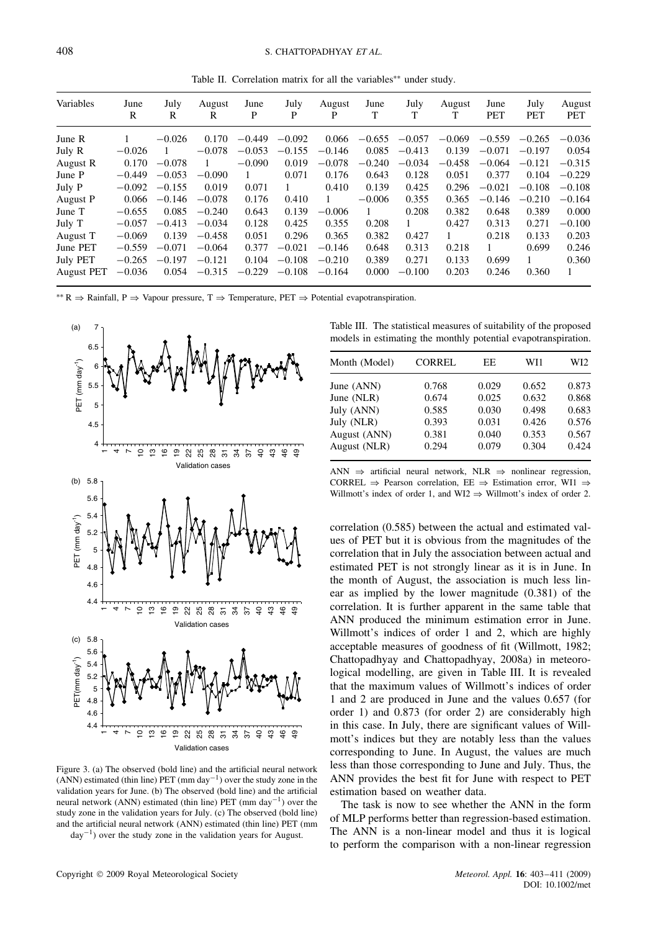Table II. Correlation matrix for all the variables<sup>∗∗</sup> under study.

| Variables         | June<br>R | July<br>R | August<br>R | June<br>P | July<br>P | August<br>P  | June<br>T | July<br>т | August<br>T  | June<br><b>PET</b> | July<br><b>PET</b> | August<br><b>PET</b> |
|-------------------|-----------|-----------|-------------|-----------|-----------|--------------|-----------|-----------|--------------|--------------------|--------------------|----------------------|
| June R            |           | $-0.026$  | 0.170       | $-0.449$  | $-0.092$  | 0.066        | $-0.655$  | $-0.057$  | $-0.069$     | $-0.559$           | $-0.265$           | $-0.036$             |
| July R            | $-0.026$  |           | $-0.078$    | $-0.053$  | $-0.155$  | $-0.146$     | 0.085     | $-0.413$  | 0.139        | $-0.071$           | $-0.197$           | 0.054                |
| August R          | 0.170     | $-0.078$  |             | $-0.090$  | 0.019     | $-0.078$     | $-0.240$  | $-0.034$  | $-0.458$     | $-0.064$           | $-0.121$           | $-0.315$             |
| June P            | $-0.449$  | $-0.053$  | $-0.090$    | 1         | 0.071     | 0.176        | 0.643     | 0.128     | 0.051        | 0.377              | 0.104              | $-0.229$             |
| July P            | $-0.092$  | $-0.155$  | 0.019       | 0.071     | 1         | 0.410        | 0.139     | 0.425     | 0.296        | $-0.021$           | $-0.108$           | $-0.108$             |
| August P          | 0.066     | $-0.146$  | $-0.078$    | 0.176     | 0.410     | $\mathbf{1}$ | $-0.006$  | 0.355     | 0.365        | $-0.146$           | $-0.210$           | $-0.164$             |
| June T            | $-0.655$  | 0.085     | $-0.240$    | 0.643     | 0.139     | $-0.006$     |           | 0.208     | 0.382        | 0.648              | 0.389              | 0.000                |
| July T            | $-0.057$  | $-0.413$  | $-0.034$    | 0.128     | 0.425     | 0.355        | 0.208     |           | 0.427        | 0.313              | 0.271              | $-0.100$             |
| August T          | $-0.069$  | 0.139     | $-0.458$    | 0.051     | 0.296     | 0.365        | 0.382     | 0.427     | $\mathbf{1}$ | 0.218              | 0.133              | 0.203                |
| June PET          | $-0.559$  | $-0.071$  | $-0.064$    | 0.377     | $-0.021$  | $-0.146$     | 0.648     | 0.313     | 0.218        | 1                  | 0.699              | 0.246                |
| July PET          | $-0.265$  | $-0.197$  | $-0.121$    | 0.104     | $-0.108$  | $-0.210$     | 0.389     | 0.271     | 0.133        | 0.699              |                    | 0.360                |
| <b>August PET</b> | $-0.036$  | 0.054     | $-0.315$    | $-0.229$  | $-0.108$  | $-0.164$     | 0.000     | $-0.100$  | 0.203        | 0.246              | 0.360              | $\mathbf{1}$         |

<sup>\*\*</sup> R  $\Rightarrow$  Rainfall, P  $\Rightarrow$  Vapour pressure, T  $\Rightarrow$  Temperature, PET  $\Rightarrow$  Potential evapotranspiration.



Validation cases

Figure 3. (a) The observed (bold line) and the artificial neural network  $(ANN)$  estimated (thin line) PET (mm day<sup>-1</sup>) over the study zone in the validation years for June. (b) The observed (bold line) and the artificial neural network (ANN) estimated (thin line) PET (mm day<sup>-1</sup>) over the study zone in the validation years for July. (c) The observed (bold line) and the artificial neural network (ANN) estimated (thin line) PET (mm day−<sup>1</sup> ) over the study zone in the validation years for August.

Table III. The statistical measures of suitability of the proposed models in estimating the monthly potential evapotranspiration.

| Month (Model) | <b>CORREL</b> | EE    | WI 1  | WI2   |
|---------------|---------------|-------|-------|-------|
| June (ANN)    | 0.768         | 0.029 | 0.652 | 0.873 |
| June (NLR)    | 0.674         | 0.025 | 0.632 | 0.868 |
| July (ANN)    | 0.585         | 0.030 | 0.498 | 0.683 |
| July (NLR)    | 0.393         | 0.031 | 0.426 | 0.576 |
| August (ANN)  | 0.381         | 0.040 | 0.353 | 0.567 |
| August (NLR)  | 0.294         | 0.079 | 0.304 | 0.424 |

ANN  $\Rightarrow$  artificial neural network, NLR  $\Rightarrow$  nonlinear regression, CORREL  $\Rightarrow$  Pearson correlation, EE  $\Rightarrow$  Estimation error, WI1  $\Rightarrow$ Willmott's index of order 1, and WI2  $\Rightarrow$  Willmott's index of order 2.

correlation (0.585) between the actual and estimated values of PET but it is obvious from the magnitudes of the correlation that in July the association between actual and estimated PET is not strongly linear as it is in June. In the month of August, the association is much less linear as implied by the lower magnitude (0.381) of the correlation. It is further apparent in the same table that ANN produced the minimum estimation error in June. Willmott's indices of order 1 and 2, which are highly acceptable measures of goodness of fit (Willmott, 1982; Chattopadhyay and Chattopadhyay, 2008a) in meteorological modelling, are given in Table III. It is revealed that the maximum values of Willmott's indices of order 1 and 2 are produced in June and the values 0.657 (for order 1) and 0.873 (for order 2) are considerably high in this case. In July, there are significant values of Willmott's indices but they are notably less than the values corresponding to June. In August, the values are much less than those corresponding to June and July. Thus, the ANN provides the best fit for June with respect to PET estimation based on weather data.

The task is now to see whether the ANN in the form of MLP performs better than regression-based estimation. The ANN is a non-linear model and thus it is logical to perform the comparison with a non-linear regression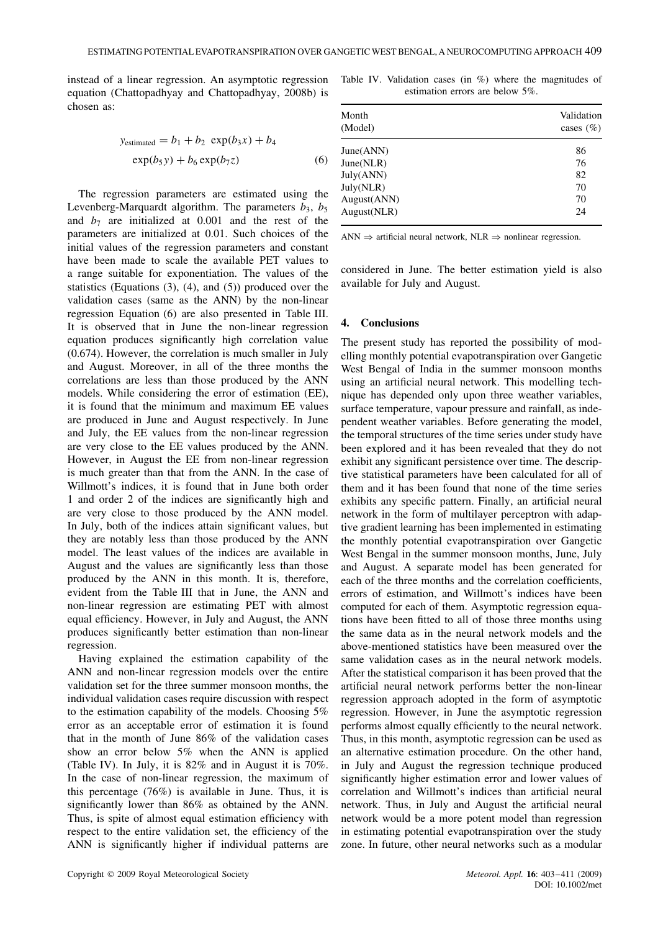instead of a linear regression. An asymptotic regression equation (Chattopadhyay and Chattopadhyay, 2008b) is chosen as:

$$
y_{\text{estimated}} = b_1 + b_2 \, \exp(b_3 x) + b_4
$$

$$
\exp(b_5 y) + b_6 \exp(b_7 z) \tag{6}
$$

The regression parameters are estimated using the Levenberg-Marquardt algorithm. The parameters  $b_3$ ,  $b_5$ and  $b_7$  are initialized at 0.001 and the rest of the parameters are initialized at 0.01. Such choices of the initial values of the regression parameters and constant have been made to scale the available PET values to a range suitable for exponentiation. The values of the statistics (Equations (3), (4), and (5)) produced over the validation cases (same as the ANN) by the non-linear regression Equation (6) are also presented in Table III. It is observed that in June the non-linear regression equation produces significantly high correlation value (0.674). However, the correlation is much smaller in July and August. Moreover, in all of the three months the correlations are less than those produced by the ANN models. While considering the error of estimation (EE), it is found that the minimum and maximum EE values are produced in June and August respectively. In June and July, the EE values from the non-linear regression are very close to the EE values produced by the ANN. However, in August the EE from non-linear regression is much greater than that from the ANN. In the case of Willmott's indices, it is found that in June both order 1 and order 2 of the indices are significantly high and are very close to those produced by the ANN model. In July, both of the indices attain significant values, but they are notably less than those produced by the ANN model. The least values of the indices are available in August and the values are significantly less than those produced by the ANN in this month. It is, therefore, evident from the Table III that in June, the ANN and non-linear regression are estimating PET with almost equal efficiency. However, in July and August, the ANN produces significantly better estimation than non-linear regression.

Having explained the estimation capability of the ANN and non-linear regression models over the entire validation set for the three summer monsoon months, the individual validation cases require discussion with respect to the estimation capability of the models. Choosing 5% error as an acceptable error of estimation it is found that in the month of June 86% of the validation cases show an error below 5% when the ANN is applied (Table IV). In July, it is 82% and in August it is 70%. In the case of non-linear regression, the maximum of this percentage (76%) is available in June. Thus, it is significantly lower than 86% as obtained by the ANN. Thus, is spite of almost equal estimation efficiency with respect to the entire validation set, the efficiency of the ANN is significantly higher if individual patterns are

|  |                                 |  |  | Table IV. Validation cases (in $\%$ ) where the magnitudes of |  |
|--|---------------------------------|--|--|---------------------------------------------------------------|--|
|  | estimation errors are below 5%. |  |  |                                                               |  |

| Month<br>(Model) | Validation<br>cases $(\% )$ |
|------------------|-----------------------------|
| June(ANN)        | 86                          |
| June(NLR)        | 76                          |
| July(ANN)        | 82                          |
| July(NLR)        | 70                          |
| August(ANN)      | 70                          |
| August(NLR)      | 24                          |

ANN  $\Rightarrow$  artificial neural network, NLR  $\Rightarrow$  nonlinear regression.

considered in June. The better estimation yield is also available for July and August.

# **4. Conclusions**

The present study has reported the possibility of modelling monthly potential evapotranspiration over Gangetic West Bengal of India in the summer monsoon months using an artificial neural network. This modelling technique has depended only upon three weather variables, surface temperature, vapour pressure and rainfall, as independent weather variables. Before generating the model, the temporal structures of the time series under study have been explored and it has been revealed that they do not exhibit any significant persistence over time. The descriptive statistical parameters have been calculated for all of them and it has been found that none of the time series exhibits any specific pattern. Finally, an artificial neural network in the form of multilayer perceptron with adaptive gradient learning has been implemented in estimating the monthly potential evapotranspiration over Gangetic West Bengal in the summer monsoon months, June, July and August. A separate model has been generated for each of the three months and the correlation coefficients, errors of estimation, and Willmott's indices have been computed for each of them. Asymptotic regression equations have been fitted to all of those three months using the same data as in the neural network models and the above-mentioned statistics have been measured over the same validation cases as in the neural network models. After the statistical comparison it has been proved that the artificial neural network performs better the non-linear regression approach adopted in the form of asymptotic regression. However, in June the asymptotic regression performs almost equally efficiently to the neural network. Thus, in this month, asymptotic regression can be used as an alternative estimation procedure. On the other hand, in July and August the regression technique produced significantly higher estimation error and lower values of correlation and Willmott's indices than artificial neural network. Thus, in July and August the artificial neural network would be a more potent model than regression in estimating potential evapotranspiration over the study zone. In future, other neural networks such as a modular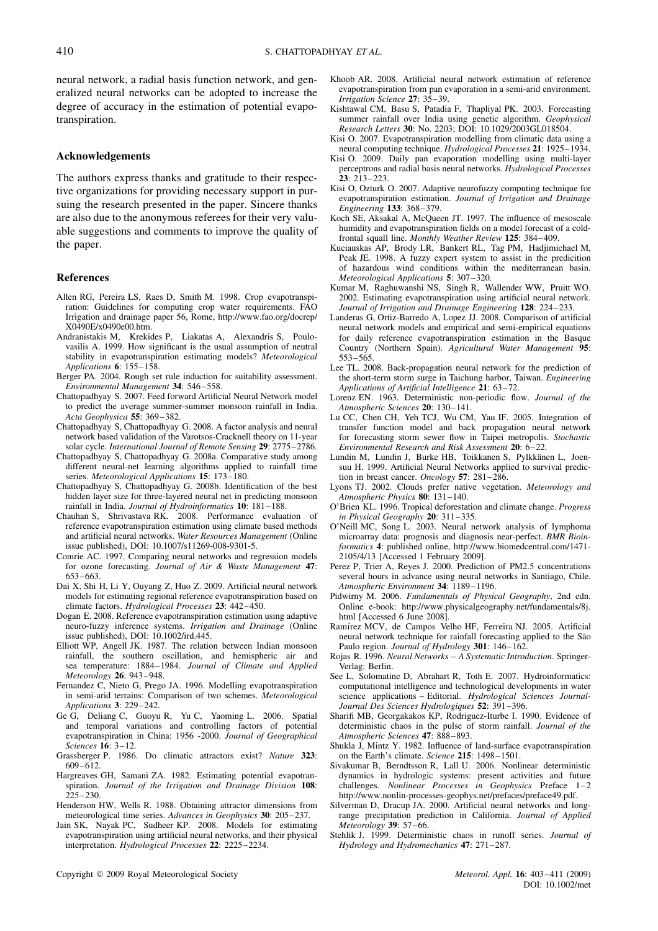neural network, a radial basis function network, and generalized neural networks can be adopted to increase the degree of accuracy in the estimation of potential evapotranspiration.

### **Acknowledgements**

The authors express thanks and gratitude to their respective organizations for providing necessary support in pursuing the research presented in the paper. Sincere thanks are also due to the anonymous referees for their very valuable suggestions and comments to improve the quality of the paper.

#### **References**

- Allen RG, Pereira LS, Raes D, Smith M. 1998. Crop evapotranspiration: Guidelines for computing crop water requirements. FAO Irrigation and drainage paper 56, Rome, http://www.fao.org/docrep/ X0490E/x0490e00.htm.
- Andranistakis M, Krekides P, Liakatas A, Alexandris S, Poulovasilis A. 1999. How significant is the usual assumption of neutral stability in evapotranspiration estimating models? *Meteorological Applications* **6**: 155–158.
- Berger PA. 2004. Rough set rule induction for suitability assessment. *Environmental Management* **34**: 546–558.
- Chattopadhyay S. 2007. Feed forward Artificial Neural Network model to predict the average summer-summer monsoon rainfall in India. *Acta Geophysica* **55**: 369–382.
- Chattopadhyay S, Chattopadhyay G. 2008. A factor analysis and neural network based validation of the Varotsos-Cracknell theory on 11-year solar cycle. *International Journal of Remote Sensing* **29**: 2775–2786.
- Chattopadhyay S, Chattopadhyay G. 2008a. Comparative study among different neural-net learning algorithms applied to rainfall time series. *Meteorological Applications* **15**: 173–180.
- Chattopadhyay S, Chattopadhyay G. 2008b. Identification of the best hidden layer size for three-layered neural net in predicting monsoon rainfall in India. *Journal of Hydroinformatics* **10**: 181–188.
- Chauhan S, Shrivastava RK. 2008. Performance evaluation of reference evapotranspiration estimation using climate based methods and artificial neural networks. *Water Resources Management* (Online issue published), DOI: 10.1007/s11269-008-9301-5.
- Comrie AC. 1997. Comparing neural networks and regression models for ozone forecasting. *Journal of Air & Waste Management* **47**: 653–663.
- Dai X, Shi H, Li Y, Ouyang Z, Huo Z. 2009. Artificial neural network models for estimating regional reference evapotranspiration based on climate factors. *Hydrological Processes* **23**: 442–450.
- Dogan E. 2008. Reference evapotranspiration estimation using adaptive neuro-fuzzy inference systems. *Irrigation and Drainage* (Online issue published), DOI: 10.1002/ird.445.
- Elliott WP, Angell JK. 1987. The relation between Indian monsoon rainfall, the southern oscillation, and hemispheric air and sea temperature: 1884–1984. *Journal of Climate and Applied Meteorology* **26**: 943–948.
- Fernandez C, Nieto G, Prego JA. 1996. Modelling evapotranspiration in semi-arid terrains: Comparison of two schemes. *Meteorological Applications* **3**: 229–242.
- Ge G, Deliang C, Guoyu R, Yu C, Yaoming L. 2006. Spatial and temporal variations and controlling factors of potential evapotranspiration in China: 1956 -2000. *Journal of Geographical Sciences* **16**: 3–12.
- Grassberger P. 1986. Do climatic attractors exist? *Nature* **323**: 609–612.
- Hargreaves GH, Samani ZA. 1982. Estimating potential evapotranspiration. *Journal of the Irrigation and Drainage Division* **108**: 225–230.
- Henderson HW, Wells R. 1988. Obtaining attractor dimensions from meteorological time series. *Advances in Geophysics* **30**: 205–237.
- Jain SK, Nayak PC, Sudheer KP. 2008. Models for estimating evapotranspiration using artificial neural networks, and their physical interpretation. *Hydrological Processes* **22**: 2225–2234.
- Khoob AR. 2008. Artificial neural network estimation of reference evapotranspiration from pan evaporation in a semi-arid environment. *Irrigation Science* **27**: 35–39.
- Kishtawal CM, Basu S, Patadia F, Thapliyal PK. 2003. Forecasting summer rainfall over India using genetic algorithm. *Geophysical Research Letters* **30**: No. 2203; DOI: 10.1029/2003GL018504.
- Kisi O. 2007. Evapotranspiration modelling from climatic data using a neural computing technique. *Hydrological Processes* **21**: 1925–1934.
- Kisi O. 2009. Daily pan evaporation modelling using multi-layer perceptrons and radial basis neural networks. *Hydrological Processes* **23**: 213–223.
- Kisi O, Ozturk O. 2007. Adaptive neurofuzzy computing technique for evapotranspiration estimation. *Journal of Irrigation and Drainage Engineering* **133**: 368–379.
- Koch SE, Aksakal A, McQueen JT. 1997. The influence of mesoscale humidity and evapotranspiration fields on a model forecast of a coldfrontal squall line. *Monthly Weather Review* **125**: 384–409.
- Kuciauskas AP, Brody LR, Bankert RL, Tag PM, Hadjimichael M, Peak JE. 1998. A fuzzy expert system to assist in the predicition of hazardous wind conditions within the mediterranean basin. *Meteorological Applications* **5**: 307–320.
- Kumar M, Raghuwanshi NS, Singh R, Wallender WW, Pruitt WO. 2002. Estimating evapotranspiration using artificial neural network. *Journal of Irrigation and Drainage Engineering* **128**: 224–233.
- Landeras G, Ortiz-Barredo A, Lopez JJ. 2008. Comparison of artificial neural network models and empirical and semi-empirical equations for daily reference evapotranspiration estimation in the Basque Country (Northern Spain). *Agricultural Water Management* **95**: 553–565.
- Lee TL. 2008. Back-propagation neural network for the prediction of the short-term storm surge in Taichung harbor, Taiwan. *Engineering Applications of Artificial Intelligence* **21**: 63–72.
- Lorenz EN. 1963. Deterministic non-periodic flow. *Journal of the Atmospheric Sciences* **20**: 130–141.
- Lu CC, Chen CH, Yeh TCJ, Wu CM, Yau IF. 2005. Integration of transfer function model and back propagation neural network for forecasting storm sewer flow in Taipei metropolis. *Stochastic Environmental Research and Risk Assessment* **20**: 6–22.
- Lundin M, Lundin J, Burke HB, Toikkanen S, Pylkkänen L, Joensuu H. 1999. Artificial Neural Networks applied to survival prediction in breast cancer. *Oncology* **57**: 281–286.
- Lyons TJ. 2002. Clouds prefer native vegetation. *Meteorology and Atmospheric Physics* **80**: 131–140.
- O'Brien KL. 1996. Tropical deforestation and climate change. *Progress in Physical Geography* **20**: 311–335.
- O'Neill MC, Song L. 2003. Neural network analysis of lymphoma microarray data: prognosis and diagnosis near-perfect. *BMR Bioinformatics* **4**: published online, http://www.biomedcentral.com/1471- 2105/4/13 [Accessed 1 February 2009].
- Perez P, Trier A, Reyes J. 2000. Prediction of PM2.5 concentrations several hours in advance using neural networks in Santiago, Chile. *Atmospheric Environment* **34**: 1189–1196.
- Pidwirny M. 2006. *Fundamentals of Physical Geography*, 2nd edn. Online e-book: http://www.physicalgeography.net/fundamentals/8j. html [Accessed 6 June 2008].
- Ramírez MCV, de Campos Velho HF, Ferreira NJ. 2005. Artificial neural network technique for rainfall forecasting applied to the São Paulo region. *Journal of Hydrology* **301**: 146–162.
- Rojas R. 1996. *Neural Networks A Systematic Introduction*. Springer-Verlag: Berlin.
- See L, Solomatine D, Abrahart R, Toth E. 2007. Hydroinformatics: computational intelligence and technological developments in water science applications – Editorial. *Hydrological Sciences Journal-Journal Des Sciences Hydrologiques* **52**: 391–396.
- Sharifi MB, Georgakakos KP, Rodriguez-Iturbe I. 1990. Evidence of deterministic chaos in the pulse of storm rainfall. *Journal of the Atmospheric Sciences* **47**: 888–893.
- Shukla J. Mintz Y. 1982. Influence of land-surface evapotranspiration on the Earth's climate. *Science* **215**: 1498–1501.
- Sivakumar B, Berndtsson R, Lall U. 2006. Nonlinear deterministic dynamics in hydrologic systems: present activities and future challenges. *Nonlinear Processes in Geophysics* Preface 1–2 http://www.nonlin-processes-geophys.net/prefaces/preface49.pdf.
- Silverman D, Dracup JA. 2000. Artificial neural networks and longrange precipitation prediction in California. *Journal of Applied Meteorology* **39**: 57–66.
- Stehlik J. 1999. Deterministic chaos in runoff series. *Journal of Hydrology and Hydromechanics* **47**: 271–287.